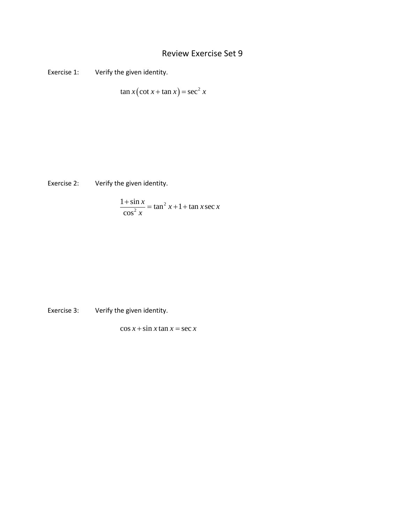## Review Exercise Set 9

Exercise 1: Verify the given identity.

$$
\tan x \left( \cot x + \tan x \right) = \sec^2 x
$$

Exercise 2: Verify the given identity.

$$
\frac{1+\sin x}{\cos^2 x} = \tan^2 x + 1 + \tan x \sec x
$$

Exercise 3: Verify the given identity.

 $\cos x + \sin x \tan x = \sec x$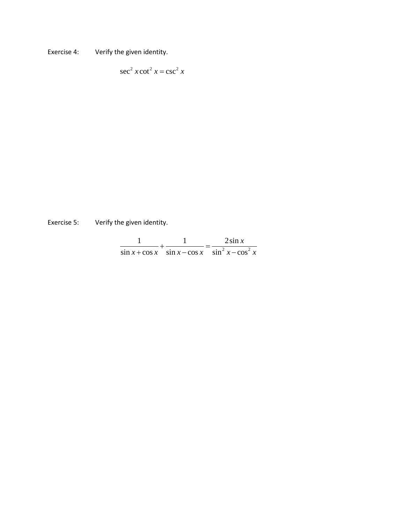Exercise 4: Verify the given identity.

$$
\sec^2 x \cot^2 x = \csc^2 x
$$

Exercise 5: Verify the given identity.

|  | $\sin x + \cos x$ $\sin x - \cos x$ $\sin^2 x - \cos^2 x$ |
|--|-----------------------------------------------------------|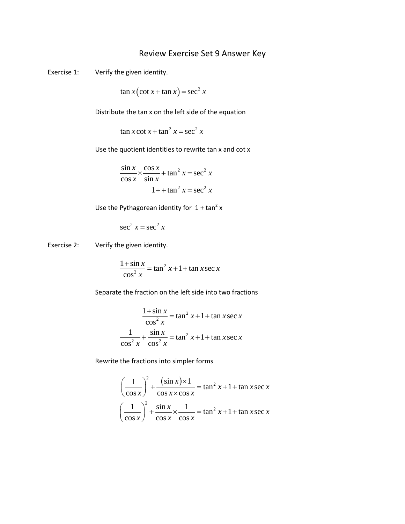## Review Exercise Set 9 Answer Key

Exercise 1: Verify the given identity.

$$
\tan x \left( \cot x + \tan x \right) = \sec^2 x
$$

Distribute the tan x on the left side of the equation

 $\tan x \cot x + \tan^2 x = \sec^2 x$ 

Use the quotient identities to rewrite tan x and cot x

$$
\frac{\sin x}{\cos x} \times \frac{\cos x}{\sin x} + \tan^2 x = \sec^2 x
$$

$$
1 + \tan^2 x = \sec^2 x
$$

Use the Pythagorean identity for  $1 + \tan^2 x$ 

$$
\sec^2 x = \sec^2 x
$$

Exercise 2: Verify the given identity.

$$
\frac{1+\sin x}{\cos^2 x} = \tan^2 x + 1 + \tan x \sec x
$$

Separate the fraction on the left side into two fractions

$$
\frac{1+\sin x}{\cos^2 x} = \tan^2 x + 1 + \tan x \sec x
$$

$$
\frac{1}{\cos^2 x} + \frac{\sin x}{\cos^2 x} = \tan^2 x + 1 + \tan x \sec x
$$

Rewrite the fractions into simpler forms

$$
\left(\frac{1}{\cos x}\right)^2 + \frac{(\sin x) \times 1}{\cos x \times \cos x} = \tan^2 x + 1 + \tan x \sec x
$$

$$
\left(\frac{1}{\cos x}\right)^2 + \frac{\sin x}{\cos x} \times \frac{1}{\cos x} = \tan^2 x + 1 + \tan x \sec x
$$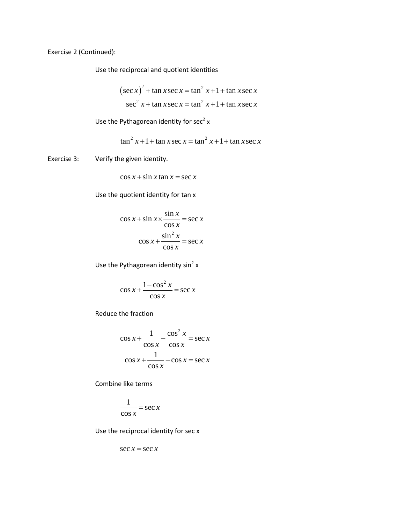Exercise 2 (Continued):

Use the reciprocal and quotient identities

$$
(\sec x)^2 + \tan x \sec x = \tan^2 x + 1 + \tan x \sec x
$$

$$
\sec^2 x + \tan x \sec x = \tan^2 x + 1 + \tan x \sec x
$$

Use the Pythagorean identity for  $sec^2 x$ 

$$
\tan^2 x + 1 + \tan x \sec x = \tan^2 x + 1 + \tan x \sec x
$$

Exercise 3: Verify the given identity.

$$
\cos x + \sin x \tan x = \sec x
$$

Use the quotient identity for tan x

$$
\cos x + \sin x \times \frac{\sin x}{\cos x} = \sec x
$$

$$
\cos x + \frac{\sin^2 x}{\cos x} = \sec x
$$

Use the Pythagorean identity  $sin^2 x$ 

$$
\cos x + \frac{1 - \cos^2 x}{\cos x} = \sec x
$$

Reduce the fraction

$$
\cos x + \frac{1}{\cos x} - \frac{\cos^2 x}{\cos x} = \sec x
$$

$$
\cos x + \frac{1}{\cos x} - \cos x = \sec x
$$

Combine like terms

$$
\frac{1}{\cos x} = \sec x
$$

Use the reciprocal identity for sec x

$$
\sec x = \sec x
$$